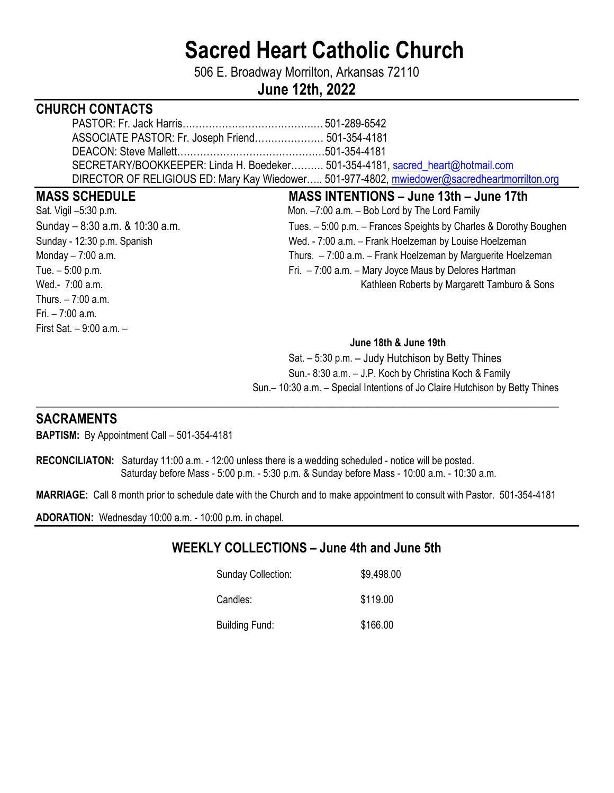# **Sacred Heart Catholic Church**

506 E. Broadway Morrilton, Arkansas 72110

# **June 12th, 2022**

# **CHURCH CONTACTS**

| ASSOCIATE PASTOR: Fr. Joseph Friend 501-354-4181                                             |  |
|----------------------------------------------------------------------------------------------|--|
|                                                                                              |  |
| SECRETARY/BOOKKEEPER: Linda H. Boedeker 501-354-4181, sacred heart@hotmail.com               |  |
| DIRECTOR OF RELIGIOUS ED: Mary Kay Wiedower 501-977-4802, mwiedower@sacredheartmorrilton.org |  |

#### **MASS SCHEDULE MASS INTENTIONS – June 13th – June 17th**

Thurs. – 7:00 a.m. Fri. – 7:00 a.m. First Sat. – 9:00 a.m. –

## Sat. Vigil –5:30 p.m. Mon. –7:00 a.m. – Bob Lord by The Lord Family Sunday – 8:30 a.m. & 10:30 a.m. Tues. – 5:00 p.m. – Frances Speights by Charles & Dorothy Boughen Sunday - 12:30 p.m. Spanish Sunday - 12:30 p.m. Spanish Wed. - 7:00 a.m. – Frank Hoelzeman by Louise Hoelzeman Monday – 7:00 a.m. Thurs. – 7:00 a.m. – Frank Hoelzeman by Marguerite Hoelzeman Tue. – 5:00 p.m. Tue. – 5:00 p.m. Wed.- 7:00 a.m. *Net Allersalysis* Wed.- 7:00 a.m.

#### **June 18th & June 19th**

 Sat. – 5:30 p.m. – Judy Hutchison by Betty Thines Sun.- 8:30 a.m. – J.P. Koch by Christina Koch & Family Sun.– 10:30 a.m. – Special Intentions of Jo Claire Hutchison by Betty Thines

## **SACRAMENTS**

**BAPTISM:** By Appointment Call – 501-354-4181

**RECONCILIATON:** Saturday 11:00 a.m. - 12:00 unless there is a wedding scheduled - notice will be posted. Saturday before Mass - 5:00 p.m. - 5:30 p.m. & Sunday before Mass - 10:00 a.m. - 10:30 a.m.

**MARRIAGE:** Call 8 month prior to schedule date with the Church and to make appointment to consult with Pastor. 501-354-4181

\_\_\_\_**\_\_\_\_\_\_\_\_\_\_\_\_\_\_\_\_\_\_\_\_\_\_\_\_\_\_\_\_\_\_\_\_\_\_\_\_\_\_\_\_\_\_\_\_\_\_\_\_\_\_\_\_\_\_\_\_\_\_\_\_\_\_\_\_\_\_\_\_\_\_\_\_\_\_\_\_\_\_\_\_\_\_\_\_\_\_\_\_\_\_\_\_\_\_\_\_\_\_\_\_** 

**ADORATION:** Wednesday 10:00 a.m. - 10:00 p.m. in chapel.

# **WEEKLY COLLECTIONS – June 4th and June 5th**

| <b>Sunday Collection:</b> | \$9,498.00 |
|---------------------------|------------|
| Candles:                  | \$119.00   |
| <b>Building Fund:</b>     | \$166.00   |